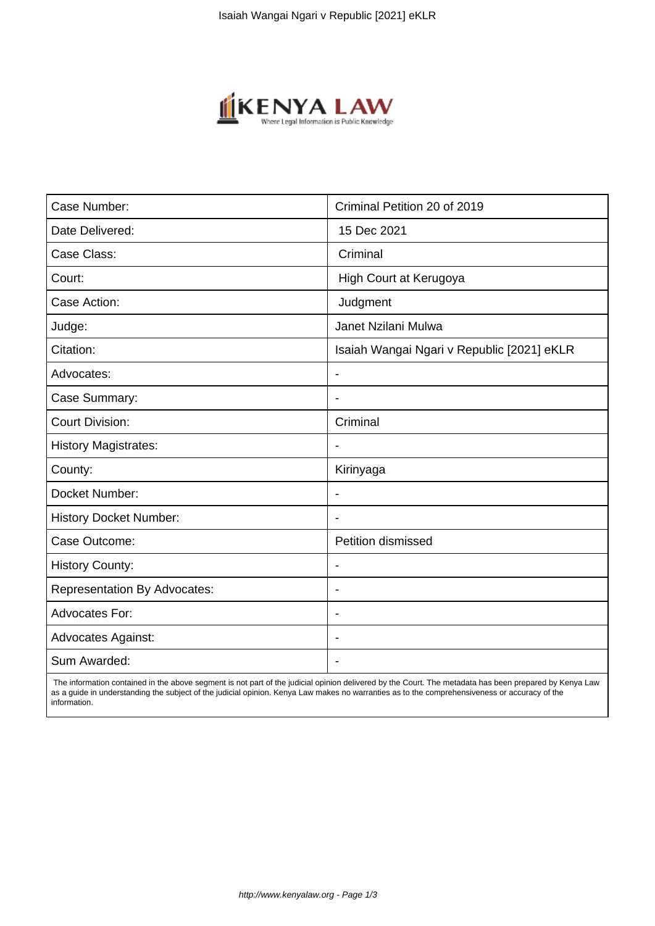

| Case Number:                        | Criminal Petition 20 of 2019               |
|-------------------------------------|--------------------------------------------|
| Date Delivered:                     | 15 Dec 2021                                |
| Case Class:                         | Criminal                                   |
| Court:                              | High Court at Kerugoya                     |
| Case Action:                        | Judgment                                   |
| Judge:                              | Janet Nzilani Mulwa                        |
| Citation:                           | Isaiah Wangai Ngari v Republic [2021] eKLR |
| Advocates:                          | $\blacksquare$                             |
| Case Summary:                       | ÷.                                         |
| <b>Court Division:</b>              | Criminal                                   |
| <b>History Magistrates:</b>         |                                            |
| County:                             | Kirinyaga                                  |
| Docket Number:                      | $\overline{\phantom{0}}$                   |
| <b>History Docket Number:</b>       |                                            |
| Case Outcome:                       | Petition dismissed                         |
| <b>History County:</b>              | $\blacksquare$                             |
| <b>Representation By Advocates:</b> | $\blacksquare$                             |
| Advocates For:                      | $\overline{\phantom{0}}$                   |
| <b>Advocates Against:</b>           |                                            |
| Sum Awarded:                        |                                            |

 The information contained in the above segment is not part of the judicial opinion delivered by the Court. The metadata has been prepared by Kenya Law as a guide in understanding the subject of the judicial opinion. Kenya Law makes no warranties as to the comprehensiveness or accuracy of the information.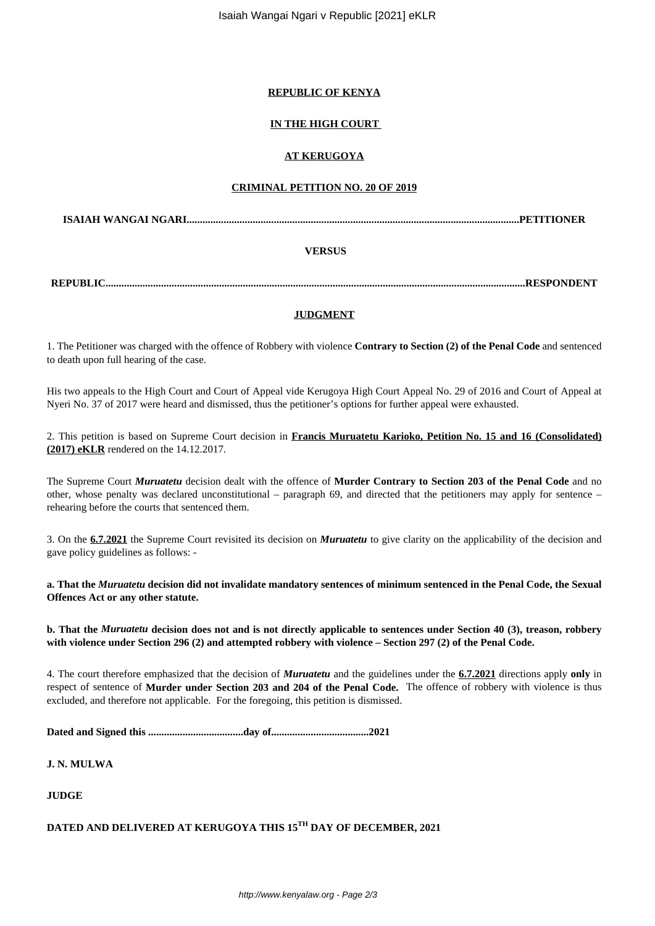Isaiah Wangai Ngari v Republic [2021] eKLR

### **REPUBLIC OF KENYA**

# **IN THE HIGH COURT**

### **AT KERUGOYA**

#### **CRIMINAL PETITION NO. 20 OF 2019**

**ISAIAH WANGAI NGARI..............................................................................................................................PETITIONER**

## **VERSUS**

**REPUBLIC...............................................................................................................................................................RESPONDENT**

### **JUDGMENT**

1. The Petitioner was charged with the offence of Robbery with violence **Contrary to Section (2) of the Penal Code** and sentenced to death upon full hearing of the case.

His two appeals to the High Court and Court of Appeal vide Kerugoya High Court Appeal No. 29 of 2016 and Court of Appeal at Nyeri No. 37 of 2017 were heard and dismissed, thus the petitioner's options for further appeal were exhausted.

2. This petition is based on Supreme Court decision in **Francis Muruatetu Karioko, Petition No. 15 and 16 (Consolidated) (2017) eKLR** rendered on the 14.12.2017.

The Supreme Court *Muruatetu* decision dealt with the offence of **Murder Contrary to Section 203 of the Penal Code** and no other, whose penalty was declared unconstitutional – paragraph 69, and directed that the petitioners may apply for sentence – rehearing before the courts that sentenced them.

3. On the **6.7.2021** the Supreme Court revisited its decision on *Muruatetu* to give clarity on the applicability of the decision and gave policy guidelines as follows: -

**a. That the** *Muruatetu* **decision did not invalidate mandatory sentences of minimum sentenced in the Penal Code, the Sexual Offences Act or any other statute.**

**b. That the** *Muruatetu* **decision does not and is not directly applicable to sentences under Section 40 (3), treason, robbery with violence under Section 296 (2) and attempted robbery with violence – Section 297 (2) of the Penal Code.**

4. The court therefore emphasized that the decision of *Muruatetu* and the guidelines under the **6.7.2021** directions apply **only** in respect of sentence of **Murder under Section 203 and 204 of the Penal Code.** The offence of robbery with violence is thus excluded, and therefore not applicable. For the foregoing, this petition is dismissed.

**Dated and Signed this ....................................day of.....................................2021**

**J. N. MULWA**

**JUDGE**

# **DATED AND DELIVERED AT KERUGOYA THIS 15TH DAY OF DECEMBER, 2021**